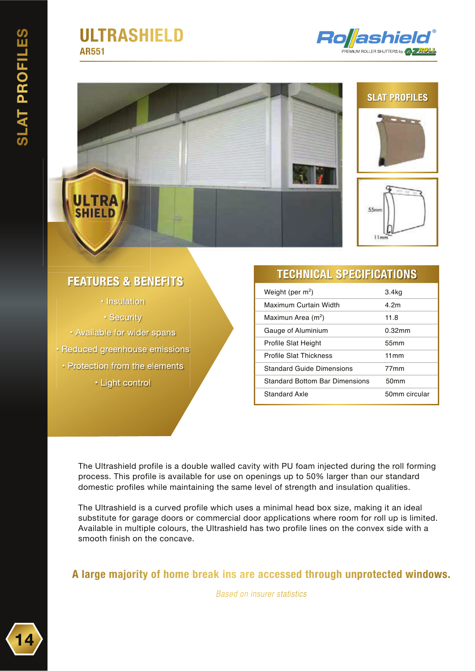# **ULTRASHIELD AR551**





**SLAT PROFILES** 

# **FEATURES & BENEFITS**

**ULTRA** 

- · Insulation
- Security
- Available for wider spans
- · Reduced greenhouse emissions
	- Protection from the elements
		- Light control

# **TECHNICAL SPECIFICATIONS**

| Weight (per $m^2$ )                   | 3.4 <sub>kq</sub> |
|---------------------------------------|-------------------|
| Maximum Curtain Width                 | 4.2m              |
| Maximun Area (m <sup>2</sup> )        | 11.8              |
| Gauge of Aluminium                    | $0.32$ mm         |
| Profile Slat Height                   | 55mm              |
| <b>Profile Slat Thickness</b>         | 11mm              |
| <b>Standard Guide Dimensions</b>      | 77 <sub>mm</sub>  |
| <b>Standard Bottom Bar Dimensions</b> | 50 <sub>mm</sub>  |
| Standard Axle                         | 50mm circular     |

The Ultrashield profile is a double walled cavity with PU foam injected during the roll forming process. This profile is available for use on openings up to 50% larger than our standard domestic profiles while maintaining the same level of strength and insulation qualities.

The Ultrashield is a curved profile which uses a minimal head box size, making it an ideal substitute for garage doors or commercial door applications where room for roll up is limited. Available in multiple colours, the Ultrashield has two profile lines on the convex side with a smooth finish on the concave.

# **A large majority of home break ins are accessed through unprotected windows.**

Based on insurer statistics